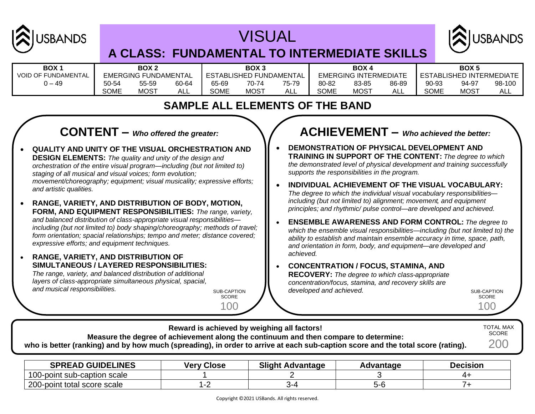

# VISUAL



### **A CLASS: FUNDAMENTAL TO INTERMEDIATE SKILLS**

| <b>BOX</b>                 | BOX <sub>2</sub>                  |             |                              | BOX <sub>3</sub> |                       |       | <b>BOX4</b>                     |             |       | BOX <sub>5</sub> |       |        |
|----------------------------|-----------------------------------|-------------|------------------------------|------------------|-----------------------|-------|---------------------------------|-------------|-------|------------------|-------|--------|
| <b>VOID OF FUNDAMENTAL</b> | FUNDAMENTAL<br><b>EMERGING FI</b> |             | ESTABLISHEI<br>) FUNDAMENTAL |                  | EMERGING INTERMEDIATE |       | <b>ESTABLISHED INTERMEDIATE</b> |             |       |                  |       |        |
| $0 - 49$                   | 50-54                             | 55-59       | 60-64                        | 65-69            | 70-74                 | 75-79 | 80-82                           | 83-85       | 86-89 | 90-93            | 94-97 | 98-100 |
|                            | SOME                              | <b>MOST</b> | ALL                          | <b>SOME</b>      | <b>MOST</b>           | ALL   | <b>SOME</b>                     | <b>MOST</b> | ALL   | <b>SOME</b>      | MOST  | ALL    |

### **SAMPLE ALL ELEMENTS OF THE BAND**

### **CONTENT –** *Who offered the greater:*

- **QUALITY AND UNITY OF THE VISUAL ORCHESTRATION AND DESIGN ELEMENTS:** *The quality and unity of the design and orchestration of the entire visual program—including (but not limited to) staging of all musical and visual voices; form evolution; movement/choreography; equipment; visual musicality; expressive efforts; and artistic qualities.*
- **RANGE, VARIETY, AND DISTRIBUTION OF BODY, MOTION, FORM, AND EQUIPMENT RESPONSIBILITIES:** *The range, variety, and balanced distribution of class-appropriate visual responsibilities including (but not limited to) body shaping/choreography; methods of travel; form orientation; spacial relationships; tempo and meter; distance covered; expressive efforts; and equipment techniques.*
- **RANGE, VARIETY, AND DISTRIBUTION OF SIMULTANEOUS / LAYERED RESPONSIBILITIES:** *The range, variety, and balanced distribution of additional layers of class-appropriate simultaneous physical, spacial, and musical responsibilities.*

SUB-CAPTION **SCORE** 

100

### **ACHIEVEMENT –** *Who achieved the better:*

- **DEMONSTRATION OF PHYSICAL DEVELOPMENT AND TRAINING IN SUPPORT OF THE CONTENT:** *The degree to which the demonstrated level of physical development and training successfully supports the responsibilities in the program.*
- **INDIVIDUAL ACHIEVEMENT OF THE VISUAL VOCABULARY:** *The degree to which the individual visual vocabulary responsibilities including (but not limited to) alignment; movement, and equipment principles; and rhythmic/ pulse control—are developed and achieved.*
- **ENSEMBLE AWARENESS AND FORM CONTROL:** *The degree to which the ensemble visual responsibilities—including (but not limited to) the ability to establish and maintain ensemble accuracy in time, space, path, and orientation in form, body, and equipment—are developed and achieved.*
- **CONCENTRATION / FOCUS, STAMINA, AND RECOVERY:** *The degree to which class-appropriate concentration/focus, stamina, and recovery skills are*

*developed and achieved.* The sub-capture of the sub-capture sub-capture  $\sim$ **SCORE** 100

| who is better (ranking) and by how much (spreading), in order to arrive at each sub-caption score and the total score (rating). |  | Reward is achieved by weighing all factors!<br>Measure the degree of achievement along the continuum and then compare to determine: |  |  | <b>TOTAL MAX</b><br><b>SCORE</b><br>200 |  |  |  |
|---------------------------------------------------------------------------------------------------------------------------------|--|-------------------------------------------------------------------------------------------------------------------------------------|--|--|-----------------------------------------|--|--|--|
| <b>SPREAD GUIDELINES</b><br><b>Slight Advantage</b><br><b>Decision</b><br><b>Very Close</b><br>Advantage                        |  |                                                                                                                                     |  |  |                                         |  |  |  |

| <b>GUIDELINES</b><br><b>SPREAD</b>    | <b>Close</b><br>verv | Slight,<br>Advantage | vantage | Decision |
|---------------------------------------|----------------------|----------------------|---------|----------|
| 100-point sub-caption scale           |                      |                      |         |          |
| 200-<br>t total score scale<br>-point |                      |                      | D-0     |          |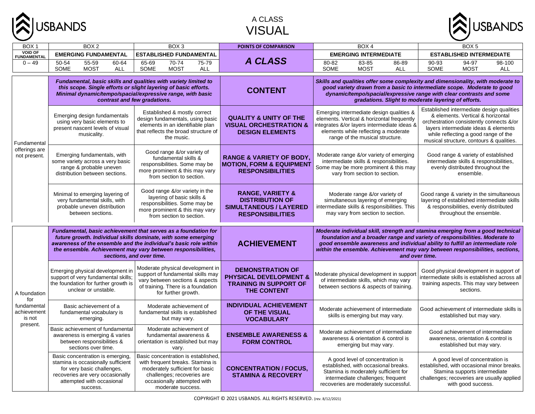

### A CLASS VISUAL



| BOX <sub>1</sub>                                                        | BOX <sub>2</sub>                                                                                                                                                                  | BOX <sub>3</sub>                                                                                                                                                                                                                                                                                | POINTS OF COMPARISON                                                                                              | BOX <sub>4</sub>                                                                                                                                                                                                                                                                                                                                   | BOX <sub>5</sub>                                                                                                                                                                                                                                       |  |  |  |
|-------------------------------------------------------------------------|-----------------------------------------------------------------------------------------------------------------------------------------------------------------------------------|-------------------------------------------------------------------------------------------------------------------------------------------------------------------------------------------------------------------------------------------------------------------------------------------------|-------------------------------------------------------------------------------------------------------------------|----------------------------------------------------------------------------------------------------------------------------------------------------------------------------------------------------------------------------------------------------------------------------------------------------------------------------------------------------|--------------------------------------------------------------------------------------------------------------------------------------------------------------------------------------------------------------------------------------------------------|--|--|--|
| <b>VOID OF</b><br><b>FUNDAMENTAL</b>                                    | <b>EMERGING FUNDAMENTAL</b>                                                                                                                                                       | <b>ESTABLISHED FUNDAMENTAL</b>                                                                                                                                                                                                                                                                  |                                                                                                                   | <b>EMERGING INTERMEDIATE</b>                                                                                                                                                                                                                                                                                                                       | <b>ESTABLISHED INTERMEDIATE</b>                                                                                                                                                                                                                        |  |  |  |
| $0 - 49$                                                                | $55 - 59$<br>50-54<br>60-64                                                                                                                                                       | $70-74$<br>$75 - 79$<br>65-69                                                                                                                                                                                                                                                                   | <b>A CLASS</b>                                                                                                    | 80-82<br>83-85<br>$86 - 89$                                                                                                                                                                                                                                                                                                                        | 90-93<br>94-97<br>98-100                                                                                                                                                                                                                               |  |  |  |
|                                                                         | SOME<br><b>MOST</b><br><b>ALL</b>                                                                                                                                                 | SOME<br><b>MOST</b><br><b>ALL</b>                                                                                                                                                                                                                                                               |                                                                                                                   | SOME<br><b>MOST</b><br>ALL                                                                                                                                                                                                                                                                                                                         | SOME<br><b>MOST</b><br><b>ALL</b>                                                                                                                                                                                                                      |  |  |  |
| Fundamental<br>offerings are<br>not present.                            | this scope. Single efforts or slight layering of basic efforts.<br>Minimal dynamic/tempo/spacial/expressive range, with basic<br>contrast and few gradations.                     | Fundamental, basic skills and qualities with variety limited to                                                                                                                                                                                                                                 | <b>CONTENT</b>                                                                                                    | Skills and qualities offer some complexity and dimensionality, with moderate to<br>good variety drawn from a basic to intermediate scope. Moderate to good<br>dynamic/tempo/spacial/expressive range with clear contrasts and some<br>gradations. Slight to moderate layering of efforts.                                                          |                                                                                                                                                                                                                                                        |  |  |  |
|                                                                         | Emerging design fundamentals<br>using very basic elements to<br>present nascent levels of visual<br>musicality.                                                                   | Established & mostly correct<br>design fundamentals, using basic<br>elements in an identifiable plan<br>that reflects the broad structure of<br>the music.                                                                                                                                      | <b>QUALITY &amp; UNITY OF THE</b><br><b>VISUAL ORCHESTRATION &amp;</b><br><b>DESIGN ELEMENTS</b>                  | Emerging intermediate design qualities &<br>elements. Vertical & horizontal frequently<br>integrates &/or layers intermediate ideas &<br>elements while reflecting a moderate<br>range of the musical structure.                                                                                                                                   | Established intermediate design qualities<br>& elements. Vertical & horizontal<br>orchestration consistently connects &/or<br>layers intermediate ideas & elements<br>while reflecting a good range of the<br>musical structure, contours & qualities. |  |  |  |
|                                                                         | Emerging fundamentals, with<br>some variety across a very basic<br>range & probable uneven<br>distribution between sections.                                                      | Good range &/or variety of<br>fundamental skills &<br>responsibilities. Some may be<br>more prominent & this may vary<br>from section to section.                                                                                                                                               | <b>RANGE &amp; VARIETY OF BODY.</b><br><b>MOTION, FORM &amp; EQUIPMENT</b><br><b>RESPONSIBILITIES</b>             | Moderate range &/or variety of emerging<br>intermediate skills & responsibilities.<br>Some may be more prominent & this may<br>vary from section to section.                                                                                                                                                                                       | Good range & variety of established<br>intermediate skills & responsibilities,<br>evenly distributed throughout the<br>ensemble.                                                                                                                       |  |  |  |
|                                                                         | Minimal to emerging layering of<br>very fundamental skills, with<br>probable uneven distribution<br>between sections.                                                             | Good range &/or variety in the<br>layering of basic skills &<br>responsibilities. Some may be<br>more prominent & this may vary<br>from section to section.                                                                                                                                     | <b>RANGE, VARIETY &amp;</b><br><b>DISTRIBUTION OF</b><br><b>SIMULTANEOUS / LAYERED</b><br><b>RESPONSIBILITIES</b> | Moderate range &/or variety of<br>simultaneous layering of emerging<br>intermediate skills & responsibilities. This<br>may vary from section to section.                                                                                                                                                                                           | Good range & variety in the simultaneous<br>layering of established intermediate skills<br>& responsibilities, evenly distributed<br>throughout the ensemble.                                                                                          |  |  |  |
| A foundation<br>for<br>fundamental<br>achievement<br>is not<br>present. |                                                                                                                                                                                   | Fundamental, basic achievement that serves as a foundation for<br>future growth. Individual skills dominate, with some emerging<br>awareness of the ensemble and the individual's basic role within<br>the ensemble. Achievement may vary between responsibilities,<br>sections, and over time. | <b>ACHIEVEMENT</b>                                                                                                | Moderate individual skill, strength and stamina emerging from a good technical<br>foundation and a broader range and variety of responsibilities. Moderate to<br>good ensemble awareness and individual ability to fulfill an intermediate role<br>within the ensemble. Achievement may vary between responsibilities, sections,<br>and over time. |                                                                                                                                                                                                                                                        |  |  |  |
|                                                                         | Emerging physical development in<br>support of very fundamental skills;<br>the foundation for further growth is<br>unclear or unstable.                                           | Moderate physical development in<br>support of fundamental skills may<br>vary between sections & aspects<br>of training. There is a foundation<br>for further growth.                                                                                                                           | <b>DEMONSTRATION OF</b><br><b>PHYSICAL DEVELOPMENT &amp;</b><br><b>TRAINING IN SUPPORT OF</b><br>THE CONTENT      | Moderate physical development in suppor<br>of intermediate skills, which may vary<br>between sections & aspects of training.                                                                                                                                                                                                                       | Good physical development in support of<br>ntermediate skills is established across all<br>training aspects. This may vary between<br>sections.                                                                                                        |  |  |  |
|                                                                         | Basic achievement of a<br>fundamental vocabulary is<br>emerging.                                                                                                                  | Moderate achievement of<br>fundamental skills is established<br>but may vary.                                                                                                                                                                                                                   | <b>INDIVIDUAL ACHIEVEMENT</b><br>OF THE VISUAL<br><b>VOCABULARY</b>                                               | Moderate achievement of intermediate<br>skills is emerging but may vary.                                                                                                                                                                                                                                                                           | Good achievement of intermediate skills is<br>established but may vary.                                                                                                                                                                                |  |  |  |
|                                                                         | Basic achievement of fundamental<br>awareness is emerging & varies<br>between responsibilities &<br>sections over time.                                                           | Moderate achievement of<br>fundamental awareness &<br>orientation is established but may<br>vary.                                                                                                                                                                                               | <b>ENSEMBLE AWARENESS &amp;</b><br><b>FORM CONTROL</b>                                                            | Moderate achievement of intermediate<br>awareness & orientation & control is<br>emerging but may vary.                                                                                                                                                                                                                                             | Good achievement of intermediate<br>awareness, orientation & control is<br>established but may vary.                                                                                                                                                   |  |  |  |
|                                                                         | Basic concentration is emerging,<br>stamina is occasionally sufficient<br>for very basic challenges,<br>recoveries are very occasionally<br>attempted with occasional<br>success. | Basic concentration is established,<br>with frequent breaks. Stamina is<br>moderately sufficient for basic<br>challenges; recoveries are<br>occasionally attempted with<br>moderate success.                                                                                                    | <b>CONCENTRATION / FOCUS,</b><br><b>STAMINA &amp; RECOVERY</b>                                                    | A good level of concentration is<br>established, with occasional breaks.<br>Stamina is moderately sufficient for<br>intermediate challenges; frequent<br>recoveries are moderately successful.                                                                                                                                                     | A good level of concentration is<br>established, with occasional minor breaks.<br>Stamina supports intermediate<br>challenges; recoveries are usually applied<br>with good success.                                                                    |  |  |  |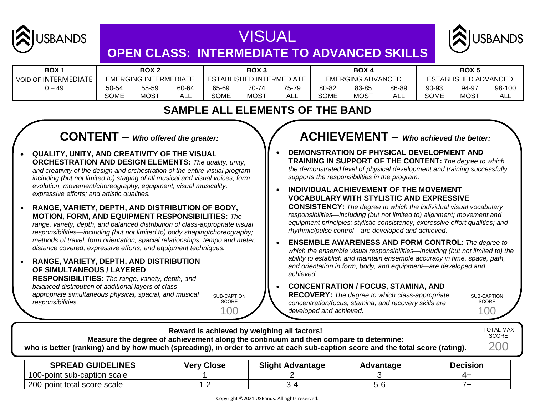

## VISUAL **OPEN CLASS: INTERMEDIATE TO ADVANCED SKILLS**



| BOX 1                       | BOX 2                 |       | BOX <sub>3</sub>         |       | BOX 4                    |       |                      | <b>BOX5</b> |       |       |                  |        |
|-----------------------------|-----------------------|-------|--------------------------|-------|--------------------------|-------|----------------------|-------------|-------|-------|------------------|--------|
| <b>VOID OF INTERMEDIATE</b> | EMERGING INTERMEDIATE |       | ESTABLISHED INTERMEDIATE |       | <b>EMERGING ADVANCED</b> |       | ESTABLISHED ADVANCED |             |       |       |                  |        |
| 49 – ل                      | 50-54                 | 55-59 | 60-64                    | 65-69 | 70-74                    | 75-79 | 80-82                | 83-85       | 86-89 | 90-93 | 94-97            | 98-100 |
|                             | SOME                  | MOST  | ALL                      | SOME  | <b>MOST</b>              | ALL   | <b>SOME</b>          | <b>MOST</b> | ALL   | SOME  | MOS <sup>-</sup> | ALL    |

### **SAMPLE ALL ELEMENTS OF THE BAND**

### **CONTENT –** *Who offered the greater:*

- **QUALITY, UNITY, AND CREATIVITY OF THE VISUAL ORCHESTRATION AND DESIGN ELEMENTS:** *The quality, unity, and creativity of the design and orchestration of the entire visual program including (but not limited to) staging of all musical and visual voices; form evolution; movement/choreography; equipment; visual musicality; expressive efforts; and artistic qualities.*
- **RANGE, VARIETY, DEPTH, AND DISTRIBUTION OF BODY, MOTION, FORM, AND EQUIPMENT RESPONSIBILITIES:** *The range, variety, depth, and balanced distribution of class-appropriate visual responsibilities—including (but not limited to) body shaping/choreography; methods of travel; form orientation; spacial relationships; tempo and meter; distance covered; expressive efforts; and equipment techniques.*
- **RANGE, VARIETY, DEPTH, AND DISTRIBUTION OF SIMULTANEOUS / LAYERED**

**RESPONSIBILITIES:** *The range, variety, depth, and balanced distribution of additional layers of classappropriate simultaneous physical, spacial, and musical responsibilities.*

SUB-CAPTION **SCORE** 100

### **ACHIEVEMENT –** *Who achieved the better:*

- **DEMONSTRATION OF PHYSICAL DEVELOPMENT AND TRAINING IN SUPPORT OF THE CONTENT:** *The degree to which the demonstrated level of physical development and training successfully supports the responsibilities in the program.*
- **INDIVIDUAL ACHIEVEMENT OF THE MOVEMENT VOCABULARY WITH STYLISTIC AND EXPRESSIVE CONSISTENCY:** *The degree to which the individual visual vocabulary responsibilities—including (but not limited to) alignment; movement and equipment principles; stylistic consistency; expressive effort qualities; and rhythmic/pulse control—are developed and achieved.*
- **ENSEMBLE AWARENESS AND FORM CONTROL:** *The degree to which the ensemble visual responsibilities—including (but not limited to) the ability to establish and maintain ensemble accuracy in time, space, path, and orientation in form, body, and equipment—are developed and achieved.*

#### • **CONCENTRATION / FOCUS, STAMINA, AND**

**RECOVERY:** *The degree to which class-appropriate concentration/focus, stamina, and recovery skills are developed and achieved.*

SUB-CAPTION SCORE 100

**Reward is achieved by weighing all factors! Measure the degree of achievement along the continuum and then compare to determine: who is better (ranking) and by how much (spreading), in order to arrive at each sub-caption score and the total score (rating).** TOTAL MAX SCORE 200

| <b>SPREAD GUIDELINES</b>           | <b>Verv Close</b> | <b>Slight Advantage</b> | <b>\dvantagr</b> | <b>Decision</b> |
|------------------------------------|-------------------|-------------------------|------------------|-----------------|
| 100-point sub-caption scale        |                   |                         |                  |                 |
| ∩∩י<br>200-point total score scale |                   | \-/                     |                  |                 |